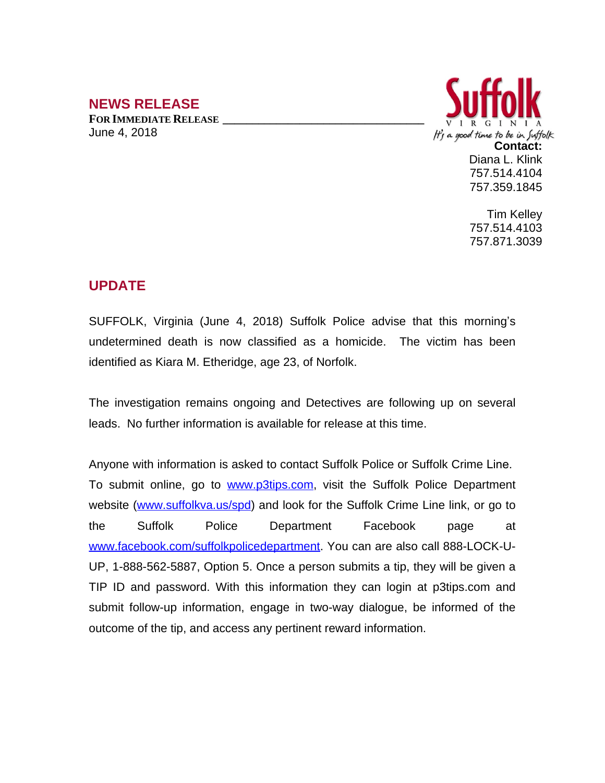## **NEWS RELEASE**

**FOR IMMEDIATE RELEASE \_\_\_\_\_\_\_\_\_\_\_\_\_\_\_\_\_\_\_\_\_\_\_\_\_\_\_\_\_\_\_\_\_\_** June 4, 2018



Tim Kelley 757.514.4103 757.871.3039

## **UPDATE**

SUFFOLK, Virginia (June 4, 2018) Suffolk Police advise that this morning's undetermined death is now classified as a homicide. The victim has been identified as Kiara M. Etheridge, age 23, of Norfolk.

The investigation remains ongoing and Detectives are following up on several leads. No further information is available for release at this time.

Anyone with information is asked to contact Suffolk Police or Suffolk Crime Line. To submit online, go to [www.p3tips.com](http://www.p3tips.com), visit the Suffolk Police Department website ([www.suffolkva.us/spd](http://www.suffolkva.us/spd)) and look for the Suffolk Crime Line link, or go to the Suffolk Police Department Facebook page at [www.facebook.com/suffolkpolicedepartment](http://www.facebook.com/suffolkpolicedepartment). You can are also call 888-LOCK-U-UP, 1-888-562-5887, Option 5. Once a person submits a tip, they will be given a TIP ID and password. With this information they can login at p3tips.com and submit follow-up information, engage in two-way dialogue, be informed of the outcome of the tip, and access any pertinent reward information.